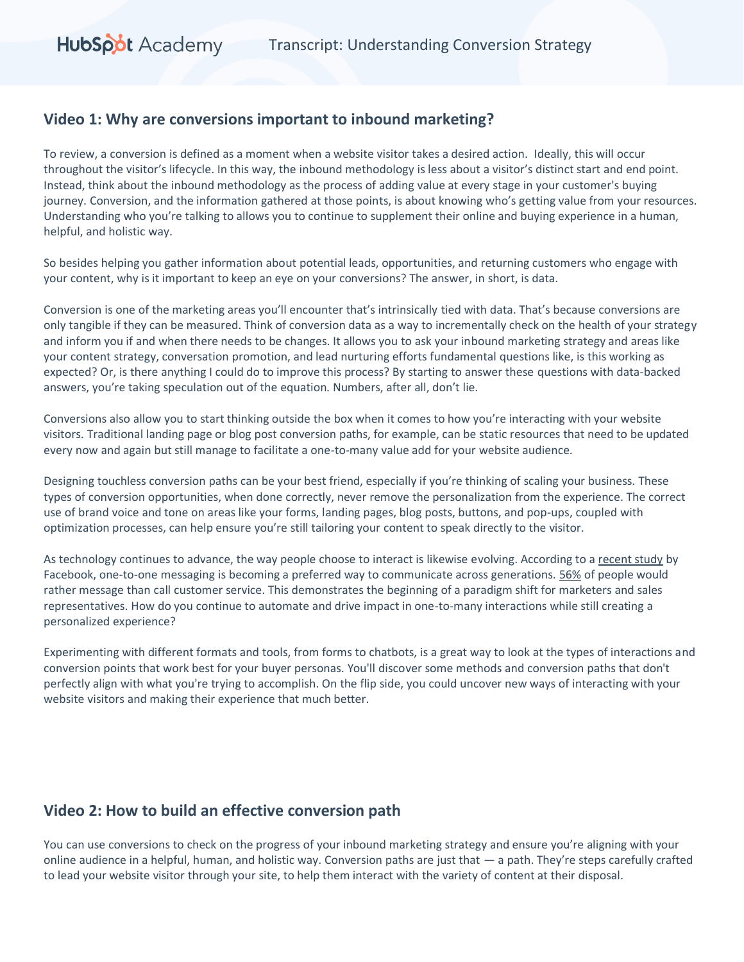### **Video 1: Why are conversions important to inbound marketing?**

To review, a conversion is defined as a moment when a website visitor takes a desired action. Ideally, this will occur throughout the visitor's lifecycle. In this way, the inbound methodology is less about a visitor's distinct start and end point. Instead, think about the inbound methodology as the process of adding value at every stage in your customer's buying journey. Conversion, and the information gathered at those points, is about knowing who's getting value from your resources. Understanding who you're talking to allows you to continue to supplement their online and buying experience in a human, helpful, and holistic way.

So besides helping you gather information about potential leads, opportunities, and returning customers who engage with your content, why is it important to keep an eye on your conversions? The answer, in short, is data.

Conversion is one of the marketing areas you'll encounter that's intrinsically tied with data. That's because conversions are only tangible if they can be measured. Think of conversion data as a way to incrementally check on the health of your strategy and inform you if and when there needs to be changes. It allows you to ask your inbound marketing strategy and areas like your content strategy, conversation promotion, and lead nurturing efforts fundamental questions like, is this working as expected? Or, is there anything I could do to improve this process? By starting to answer these questions with data-backed answers, you're taking speculation out of the equation. Numbers, after all, don't lie.

Conversions also allow you to start thinking outside the box when it comes to how you're interacting with your website visitors. Traditional landing page or blog post conversion paths, for example, can be static resources that need to be updated every now and again but still manage to facilitate a one-to-many value add for your website audience.

Designing touchless conversion paths can be your best friend, especially if you're thinking of scaling your business. These types of conversion opportunities, when done correctly, never remove the personalization from the experience. The correct use of brand voice and tone on areas like your forms, landing pages, blog posts, buttons, and pop-ups, coupled with optimization processes, can help ensure you're still tailoring your content to speak directly to the visitor.

As technology continues to advance, the way people choose to interact is likewise evolving. According to [a recent study](https://insights.fb.com/morethanamessage/?ref=fbiq_site) by Facebook, one-to-one messaging is becoming a preferred way to communicate across generations. [56%](https://www.facebook.com/business/products/messenger-for-business) of people would rather message than call customer service. This demonstrates the beginning of a paradigm shift for marketers and sales representatives. How do you continue to automate and drive impact in one-to-many interactions while still creating a personalized experience?

Experimenting with different formats and tools, from forms to chatbots, is a great way to look at the types of interactions and conversion points that work best for your buyer personas. You'll discover some methods and conversion paths that don't perfectly align with what you're trying to accomplish. On the flip side, you could uncover new ways of interacting with your website visitors and making their experience that much better.

### **Video 2: How to build an effective conversion path**

You can use conversions to check on the progress of your inbound marketing strategy and ensure you're aligning with your online audience in a helpful, human, and holistic way. Conversion paths are just that — a path. They're steps carefully crafted to lead your website visitor through your site, to help them interact with the variety of content at their disposal.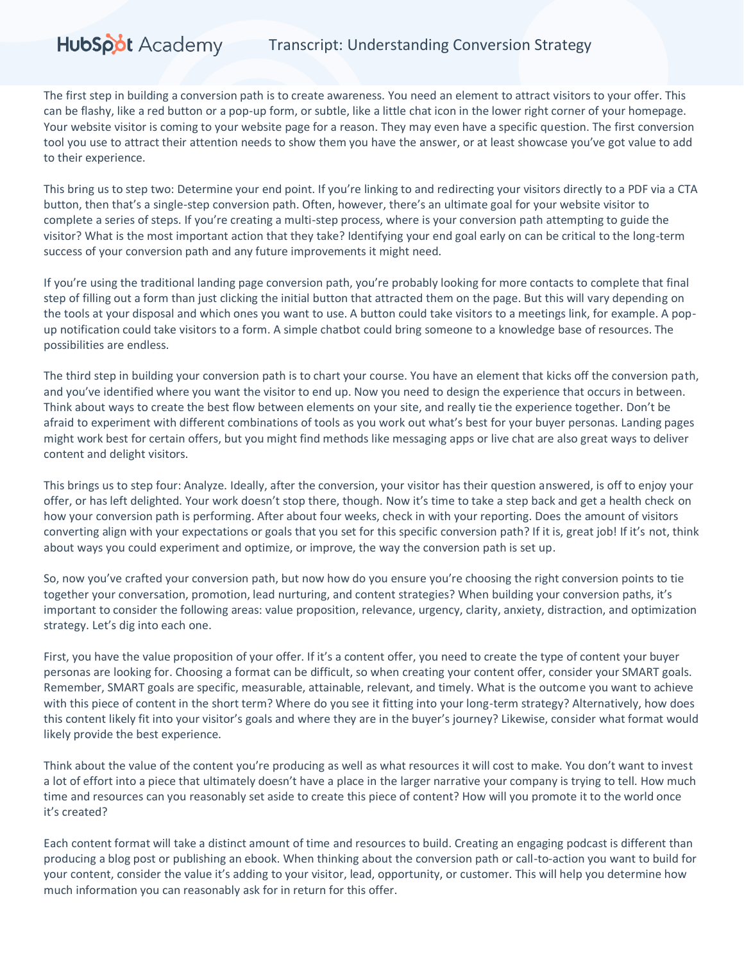The first step in building a conversion path is to create awareness. You need an element to attract visitors to your offer. This can be flashy, like a red button or a pop-up form, or subtle, like a little chat icon in the lower right corner of your homepage. Your website visitor is coming to your website page for a reason. They may even have a specific question. The first conversion tool you use to attract their attention needs to show them you have the answer, or at least showcase you've got value to add to their experience.

This bring us to step two: Determine your end point. If you're linking to and redirecting your visitors directly to a PDF via a CTA button, then that's a single-step conversion path. Often, however, there's an ultimate goal for your website visitor to complete a series of steps. If you're creating a multi-step process, where is your conversion path attempting to guide the visitor? What is the most important action that they take? Identifying your end goal early on can be critical to the long-term success of your conversion path and any future improvements it might need.

If you're using the traditional landing page conversion path, you're probably looking for more contacts to complete that final step of filling out a form than just clicking the initial button that attracted them on the page. But this will vary depending on the tools at your disposal and which ones you want to use. A button could take visitors to a meetings link, for example. A popup notification could take visitors to a form. A simple chatbot could bring someone to a knowledge base of resources. The possibilities are endless.

The third step in building your conversion path is to chart your course. You have an element that kicks off the conversion path, and you've identified where you want the visitor to end up. Now you need to design the experience that occurs in between. Think about ways to create the best flow between elements on your site, and really tie the experience together. Don't be afraid to experiment with different combinations of tools as you work out what's best for your buyer personas. Landing pages might work best for certain offers, but you might find methods like messaging apps or live chat are also great ways to deliver content and delight visitors.

This brings us to step four: Analyze. Ideally, after the conversion, your visitor has their question answered, is off to enjoy your offer, or has left delighted. Your work doesn't stop there, though. Now it's time to take a step back and get a health check on how your conversion path is performing. After about four weeks, check in with your reporting. Does the amount of visitors converting align with your expectations or goals that you set for this specific conversion path? If it is, great job! If it's not, think about ways you could experiment and optimize, or improve, the way the conversion path is set up.

So, now you've crafted your conversion path, but now how do you ensure you're choosing the right conversion points to tie together your conversation, promotion, lead nurturing, and content strategies? When building your conversion paths, it's important to consider the following areas: value proposition, relevance, urgency, clarity, anxiety, distraction, and optimization strategy. Let's dig into each one.

First, you have the value proposition of your offer. If it's a content offer, you need to create the type of content your buyer personas are looking for. Choosing a format can be difficult, so when creating your content offer, consider your SMART goals. Remember, SMART goals are specific, measurable, attainable, relevant, and timely. What is the outcome you want to achieve with this piece of content in the short term? Where do you see it fitting into your long-term strategy? Alternatively, how does this content likely fit into your visitor's goals and where they are in the buyer's journey? Likewise, consider what format would likely provide the best experience.

Think about the value of the content you're producing as well as what resources it will cost to make. You don't want to invest a lot of effort into a piece that ultimately doesn't have a place in the larger narrative your company is trying to tell. How much time and resources can you reasonably set aside to create this piece of content? How will you promote it to the world once it's created?

Each content format will take a distinct amount of time and resources to build. Creating an engaging podcast is different than producing a blog post or publishing an ebook. When thinking about the conversion path or call-to-action you want to build for your content, consider the value it's adding to your visitor, lead, opportunity, or customer. This will help you determine how much information you can reasonably ask for in return for this offer.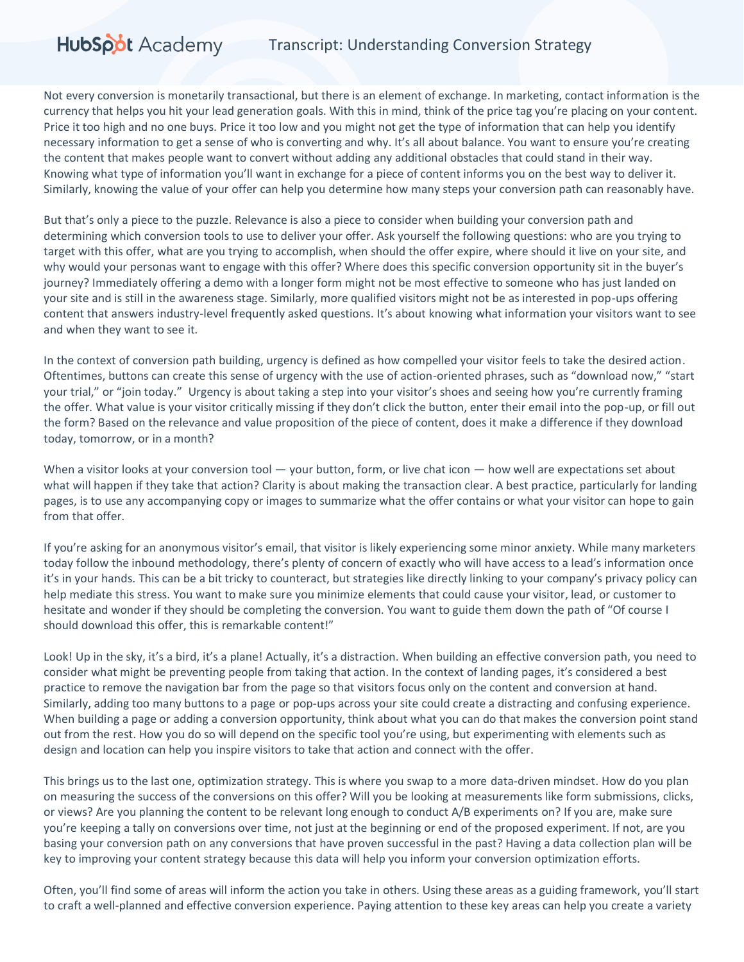Not every conversion is monetarily transactional, but there is an element of exchange. In marketing, contact information is the currency that helps you hit your lead generation goals. With this in mind, think of the price tag you're placing on your content. Price it too high and no one buys. Price it too low and you might not get the type of information that can help you identify necessary information to get a sense of who is converting and why. It's all about balance. You want to ensure you're creating the content that makes people want to convert without adding any additional obstacles that could stand in their way. Knowing what type of information you'll want in exchange for a piece of content informs you on the best way to deliver it. Similarly, knowing the value of your offer can help you determine how many steps your conversion path can reasonably have.

But that's only a piece to the puzzle. Relevance is also a piece to consider when building your conversion path and determining which conversion tools to use to deliver your offer. Ask yourself the following questions: who are you trying to target with this offer, what are you trying to accomplish, when should the offer expire, where should it live on your site, and why would your personas want to engage with this offer? Where does this specific conversion opportunity sit in the buyer's journey? Immediately offering a demo with a longer form might not be most effective to someone who has just landed on your site and is still in the awareness stage. Similarly, more qualified visitors might not be as interested in pop-ups offering content that answers industry-level frequently asked questions. It's about knowing what information your visitors want to see and when they want to see it.

In the context of conversion path building, urgency is defined as how compelled your visitor feels to take the desired action. Oftentimes, buttons can create this sense of urgency with the use of action-oriented phrases, such as "download now," "start your trial," or "join today." Urgency is about taking a step into your visitor's shoes and seeing how you're currently framing the offer. What value is your visitor critically missing if they don't click the button, enter their email into the pop-up, or fill out the form? Based on the relevance and value proposition of the piece of content, does it make a difference if they download today, tomorrow, or in a month?

When a visitor looks at your conversion tool  $-$  your button, form, or live chat icon  $-$  how well are expectations set about what will happen if they take that action? Clarity is about making the transaction clear. A best practice, particularly for landing pages, is to use any accompanying copy or images to summarize what the offer contains or what your visitor can hope to gain from that offer.

If you're asking for an anonymous visitor's email, that visitor is likely experiencing some minor anxiety. While many marketers today follow the inbound methodology, there's plenty of concern of exactly who will have access to a lead's information once it's in your hands. This can be a bit tricky to counteract, but strategies like directly linking to your company's privacy policy can help mediate this stress. You want to make sure you minimize elements that could cause your visitor, lead, or customer to hesitate and wonder if they should be completing the conversion. You want to guide them down the path of "Of course I should download this offer, this is remarkable content!"

Look! Up in the sky, it's a bird, it's a plane! Actually, it's a distraction. When building an effective conversion path, you need to consider what might be preventing people from taking that action. In the context of landing pages, it's considered a best practice to remove the navigation bar from the page so that visitors focus only on the content and conversion at hand. Similarly, adding too many buttons to a page or pop-ups across your site could create a distracting and confusing experience. When building a page or adding a conversion opportunity, think about what you can do that makes the conversion point stand out from the rest. How you do so will depend on the specific tool you're using, but experimenting with elements such as design and location can help you inspire visitors to take that action and connect with the offer.

This brings us to the last one, optimization strategy. This is where you swap to a more data-driven mindset. How do you plan on measuring the success of the conversions on this offer? Will you be looking at measurements like form submissions, clicks, or views? Are you planning the content to be relevant long enough to conduct A/B experiments on? If you are, make sure you're keeping a tally on conversions over time, not just at the beginning or end of the proposed experiment. If not, are you basing your conversion path on any conversions that have proven successful in the past? Having a data collection plan will be key to improving your content strategy because this data will help you inform your conversion optimization efforts.

Often, you'll find some of areas will inform the action you take in others. Using these areas as a guiding framework, you'll start to craft a well-planned and effective conversion experience. Paying attention to these key areas can help you create a variety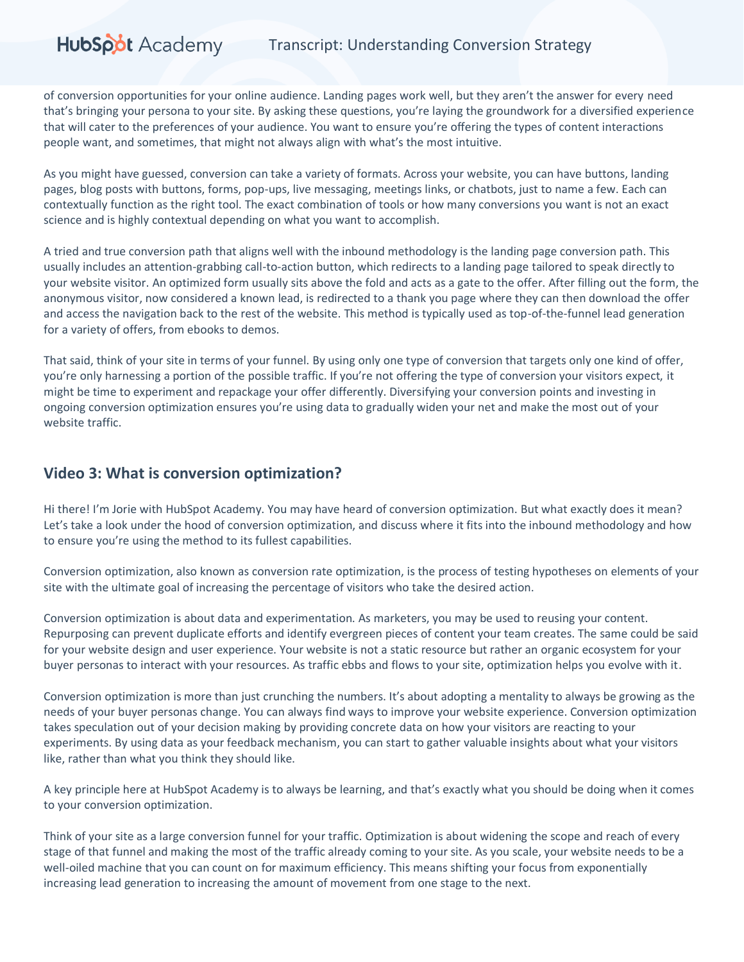of conversion opportunities for your online audience. Landing pages work well, but they aren't the answer for every need that's bringing your persona to your site. By asking these questions, you're laying the groundwork for a diversified experience that will cater to the preferences of your audience. You want to ensure you're offering the types of content interactions people want, and sometimes, that might not always align with what's the most intuitive.

As you might have guessed, conversion can take a variety of formats. Across your website, you can have buttons, landing pages, blog posts with buttons, forms, pop-ups, live messaging, meetings links, or chatbots, just to name a few. Each can contextually function as the right tool. The exact combination of tools or how many conversions you want is not an exact science and is highly contextual depending on what you want to accomplish.

A tried and true conversion path that aligns well with the inbound methodology is the landing page conversion path. This usually includes an attention-grabbing call-to-action button, which redirects to a landing page tailored to speak directly to your website visitor. An optimized form usually sits above the fold and acts as a gate to the offer. After filling out the form, the anonymous visitor, now considered a known lead, is redirected to a thank you page where they can then download the offer and access the navigation back to the rest of the website. This method is typically used as top-of-the-funnel lead generation for a variety of offers, from ebooks to demos.

That said, think of your site in terms of your funnel. By using only one type of conversion that targets only one kind of offer, you're only harnessing a portion of the possible traffic. If you're not offering the type of conversion your visitors expect, it might be time to experiment and repackage your offer differently. Diversifying your conversion points and investing in ongoing conversion optimization ensures you're using data to gradually widen your net and make the most out of your website traffic.

### **Video 3: What is conversion optimization?**

Hi there! I'm Jorie with HubSpot Academy. You may have heard of conversion optimization. But what exactly does it mean? Let's take a look under the hood of conversion optimization, and discuss where it fits into the inbound methodology and how to ensure you're using the method to its fullest capabilities.

Conversion optimization, also known as conversion rate optimization, is the process of testing hypotheses on elements of your site with the ultimate goal of increasing the percentage of visitors who take the desired action.

Conversion optimization is about data and experimentation. As marketers, you may be used to reusing your content. Repurposing can prevent duplicate efforts and identify evergreen pieces of content your team creates. The same could be said for your website design and user experience. Your website is not a static resource but rather an organic ecosystem for your buyer personas to interact with your resources. As traffic ebbs and flows to your site, optimization helps you evolve with it.

Conversion optimization is more than just crunching the numbers. It's about adopting a mentality to always be growing as the needs of your buyer personas change. You can always find ways to improve your website experience. Conversion optimization takes speculation out of your decision making by providing concrete data on how your visitors are reacting to your experiments. By using data as your feedback mechanism, you can start to gather valuable insights about what your visitors like, rather than what you think they should like.

A key principle here at HubSpot Academy is to always be learning, and that's exactly what you should be doing when it comes to your conversion optimization.

Think of your site as a large conversion funnel for your traffic. Optimization is about widening the scope and reach of every stage of that funnel and making the most of the traffic already coming to your site. As you scale, your website needs to be a well-oiled machine that you can count on for maximum efficiency. This means shifting your focus from exponentially increasing lead generation to increasing the amount of movement from one stage to the next.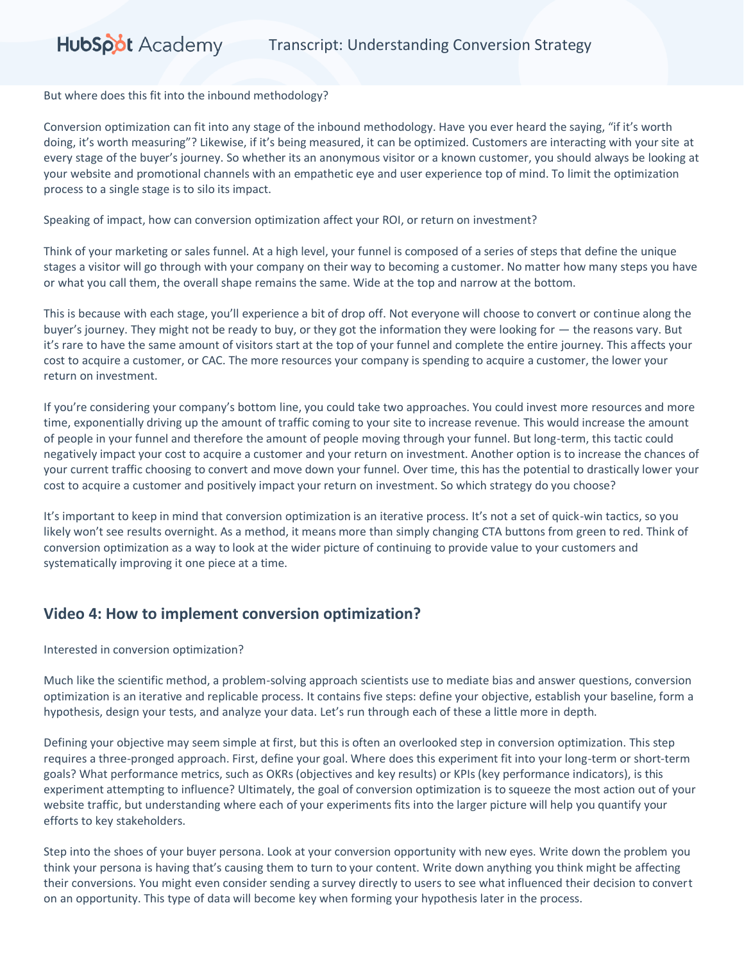But where does this fit into the inbound methodology?

Conversion optimization can fit into any stage of the inbound methodology. Have you ever heard the saying, "if it's worth doing, it's worth measuring"? Likewise, if it's being measured, it can be optimized. Customers are interacting with your site at every stage of the buyer's journey. So whether its an anonymous visitor or a known customer, you should always be looking at your website and promotional channels with an empathetic eye and user experience top of mind. To limit the optimization process to a single stage is to silo its impact.

Speaking of impact, how can conversion optimization affect your ROI, or return on investment?

Think of your marketing or sales funnel. At a high level, your funnel is composed of a series of steps that define the unique stages a visitor will go through with your company on their way to becoming a customer. No matter how many steps you have or what you call them, the overall shape remains the same. Wide at the top and narrow at the bottom.

This is because with each stage, you'll experience a bit of drop off. Not everyone will choose to convert or continue along the buyer's journey. They might not be ready to buy, or they got the information they were looking for — the reasons vary. But it's rare to have the same amount of visitors start at the top of your funnel and complete the entire journey. This affects your cost to acquire a customer, or CAC. The more resources your company is spending to acquire a customer, the lower your return on investment.

If you're considering your company's bottom line, you could take two approaches. You could invest more resources and more time, exponentially driving up the amount of traffic coming to your site to increase revenue. This would increase the amount of people in your funnel and therefore the amount of people moving through your funnel. But long-term, this tactic could negatively impact your cost to acquire a customer and your return on investment. Another option is to increase the chances of your current traffic choosing to convert and move down your funnel. Over time, this has the potential to drastically lower your cost to acquire a customer and positively impact your return on investment. So which strategy do you choose?

It's important to keep in mind that conversion optimization is an iterative process. It's not a set of quick-win tactics, so you likely won't see results overnight. As a method, it means more than simply changing CTA buttons from green to red. Think of conversion optimization as a way to look at the wider picture of continuing to provide value to your customers and systematically improving it one piece at a time.

### **Video 4: How to implement conversion optimization?**

#### Interested in conversion optimization?

Much like the scientific method, a problem-solving approach scientists use to mediate bias and answer questions, conversion optimization is an iterative and replicable process. It contains five steps: define your objective, establish your baseline, form a hypothesis, design your tests, and analyze your data. Let's run through each of these a little more in depth.

Defining your objective may seem simple at first, but this is often an overlooked step in conversion optimization. This step requires a three-pronged approach. First, define your goal. Where does this experiment fit into your long-term or short-term goals? What performance metrics, such as OKRs (objectives and key results) or KPIs (key performance indicators), is this experiment attempting to influence? Ultimately, the goal of conversion optimization is to squeeze the most action out of your website traffic, but understanding where each of your experiments fits into the larger picture will help you quantify your efforts to key stakeholders.

Step into the shoes of your buyer persona. Look at your conversion opportunity with new eyes. Write down the problem you think your persona is having that's causing them to turn to your content. Write down anything you think might be affecting their conversions. You might even consider sending a survey directly to users to see what influenced their decision to convert on an opportunity. This type of data will become key when forming your hypothesis later in the process.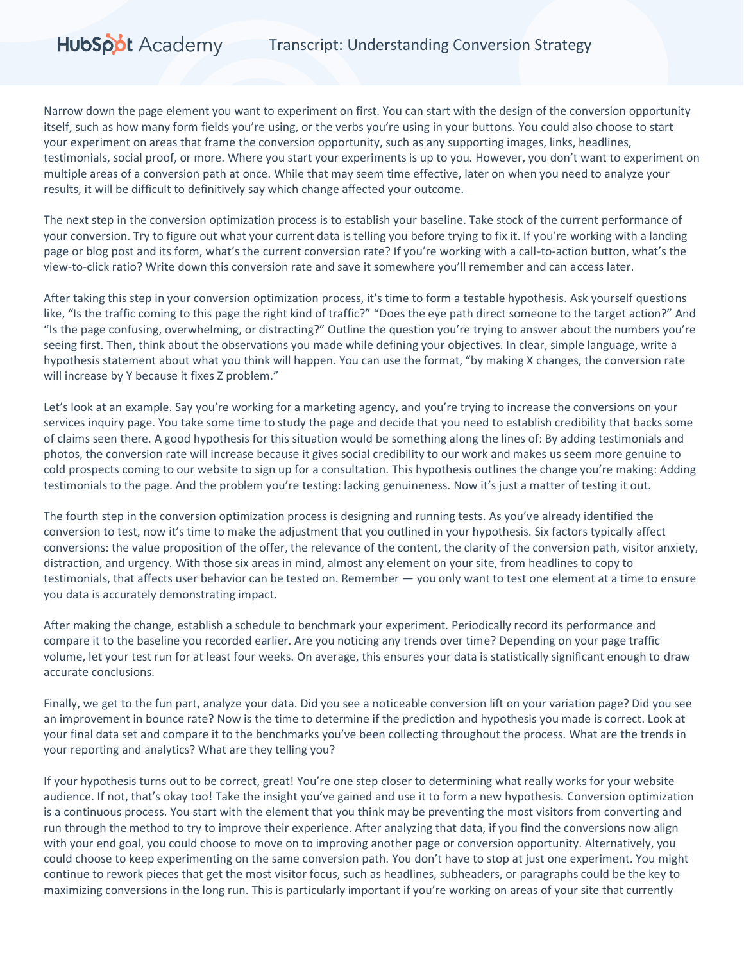Narrow down the page element you want to experiment on first. You can start with the design of the conversion opportunity itself, such as how many form fields you're using, or the verbs you're using in your buttons. You could also choose to start your experiment on areas that frame the conversion opportunity, such as any supporting images, links, headlines, testimonials, social proof, or more. Where you start your experiments is up to you. However, you don't want to experiment on multiple areas of a conversion path at once. While that may seem time effective, later on when you need to analyze your results, it will be difficult to definitively say which change affected your outcome.

HubSpot Academy

The next step in the conversion optimization process is to establish your baseline. Take stock of the current performance of your conversion. Try to figure out what your current data is telling you before trying to fix it. If you're working with a landing page or blog post and its form, what's the current conversion rate? If you're working with a call-to-action button, what's the view-to-click ratio? Write down this conversion rate and save it somewhere you'll remember and can access later.

After taking this step in your conversion optimization process, it's time to form a testable hypothesis. Ask yourself questions like, "Is the traffic coming to this page the right kind of traffic?" "Does the eye path direct someone to the target action?" And "Is the page confusing, overwhelming, or distracting?" Outline the question you're trying to answer about the numbers you're seeing first. Then, think about the observations you made while defining your objectives. In clear, simple language, write a hypothesis statement about what you think will happen. You can use the format, "by making X changes, the conversion rate will increase by Y because it fixes Z problem."

Let's look at an example. Say you're working for a marketing agency, and you're trying to increase the conversions on your services inquiry page. You take some time to study the page and decide that you need to establish credibility that backs some of claims seen there. A good hypothesis for this situation would be something along the lines of: By adding testimonials and photos, the conversion rate will increase because it gives social credibility to our work and makes us seem more genuine to cold prospects coming to our website to sign up for a consultation. This hypothesis outlines the change you're making: Adding testimonials to the page. And the problem you're testing: lacking genuineness. Now it's just a matter of testing it out.

The fourth step in the conversion optimization process is designing and running tests. As you've already identified the conversion to test, now it's time to make the adjustment that you outlined in your hypothesis. Six factors typically affect conversions: the value proposition of the offer, the relevance of the content, the clarity of the conversion path, visitor anxiety, distraction, and urgency. With those six areas in mind, almost any element on your site, from headlines to copy to testimonials, that affects user behavior can be tested on. Remember — you only want to test one element at a time to ensure you data is accurately demonstrating impact.

After making the change, establish a schedule to benchmark your experiment. Periodically record its performance and compare it to the baseline you recorded earlier. Are you noticing any trends over time? Depending on your page traffic volume, let your test run for at least four weeks. On average, this ensures your data is statistically significant enough to draw accurate conclusions.

Finally, we get to the fun part, analyze your data. Did you see a noticeable conversion lift on your variation page? Did you see an improvement in bounce rate? Now is the time to determine if the prediction and hypothesis you made is correct. Look at your final data set and compare it to the benchmarks you've been collecting throughout the process. What are the trends in your reporting and analytics? What are they telling you?

If your hypothesis turns out to be correct, great! You're one step closer to determining what really works for your website audience. If not, that's okay too! Take the insight you've gained and use it to form a new hypothesis. Conversion optimization is a continuous process. You start with the element that you think may be preventing the most visitors from converting and run through the method to try to improve their experience. After analyzing that data, if you find the conversions now align with your end goal, you could choose to move on to improving another page or conversion opportunity. Alternatively, you could choose to keep experimenting on the same conversion path. You don't have to stop at just one experiment. You might continue to rework pieces that get the most visitor focus, such as headlines, subheaders, or paragraphs could be the key to maximizing conversions in the long run. This is particularly important if you're working on areas of your site that currently